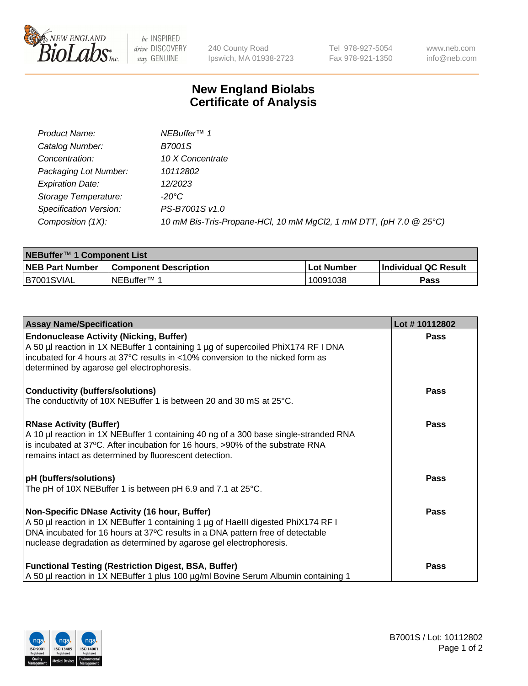

 $be$  INSPIRED drive DISCOVERY stay GENUINE

240 County Road Ipswich, MA 01938-2723 Tel 978-927-5054 Fax 978-921-1350 www.neb.com info@neb.com

## **New England Biolabs Certificate of Analysis**

| Product Name:           | NEBuffer <sup>™</sup> 1                                            |
|-------------------------|--------------------------------------------------------------------|
| Catalog Number:         | B7001S                                                             |
| Concentration:          | 10 X Concentrate                                                   |
| Packaging Lot Number:   | 10112802                                                           |
| <b>Expiration Date:</b> | 12/2023                                                            |
| Storage Temperature:    | -20°C                                                              |
| Specification Version:  | PS-B7001S v1.0                                                     |
| Composition (1X):       | 10 mM Bis-Tris-Propane-HCl, 10 mM MgCl2, 1 mM DTT, (pH 7.0 @ 25°C) |

| NEBuffer <sup>™</sup> 1 Component List |                              |            |                      |  |
|----------------------------------------|------------------------------|------------|----------------------|--|
| <b>NEB Part Number</b>                 | <b>Component Description</b> | Lot Number | Individual QC Result |  |
| IB7001SVIAL                            | NEBuffer <sup>™</sup> 1      | 10091038   | Pass                 |  |

| <b>Assay Name/Specification</b>                                                                                                                                                                                                                                                            | Lot #10112802 |
|--------------------------------------------------------------------------------------------------------------------------------------------------------------------------------------------------------------------------------------------------------------------------------------------|---------------|
| <b>Endonuclease Activity (Nicking, Buffer)</b><br>A 50 µl reaction in 1X NEBuffer 1 containing 1 µg of supercoiled PhiX174 RF I DNA<br>incubated for 4 hours at 37°C results in <10% conversion to the nicked form as<br>determined by agarose gel electrophoresis.                        | Pass          |
| <b>Conductivity (buffers/solutions)</b><br>The conductivity of 10X NEBuffer 1 is between 20 and 30 mS at 25°C.                                                                                                                                                                             | <b>Pass</b>   |
| <b>RNase Activity (Buffer)</b><br>A 10 µl reaction in 1X NEBuffer 1 containing 40 ng of a 300 base single-stranded RNA<br>is incubated at 37°C. After incubation for 16 hours, >90% of the substrate RNA<br>remains intact as determined by fluorescent detection.                         | Pass          |
| pH (buffers/solutions)<br>The pH of 10X NEBuffer 1 is between pH 6.9 and 7.1 at 25°C.                                                                                                                                                                                                      | Pass          |
| Non-Specific DNase Activity (16 hour, Buffer)<br>A 50 µl reaction in 1X NEBuffer 1 containing 1 µg of HaellI digested PhiX174 RF I<br>DNA incubated for 16 hours at 37°C results in a DNA pattern free of detectable<br>nuclease degradation as determined by agarose gel electrophoresis. | Pass          |
| <b>Functional Testing (Restriction Digest, BSA, Buffer)</b><br>A 50 µl reaction in 1X NEBuffer 1 plus 100 µg/ml Bovine Serum Albumin containing 1                                                                                                                                          | Pass          |